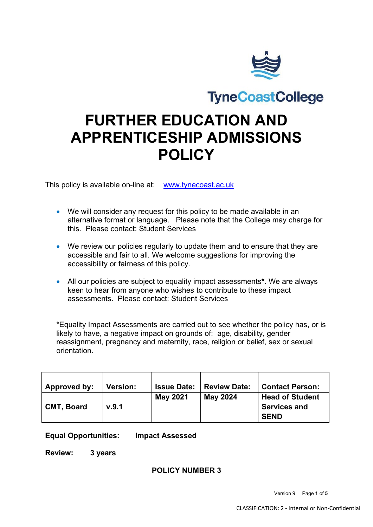

**TyneCoastCollege** 

# **FURTHER EDUCATION AND APPRENTICESHIP ADMISSIONS POLICY**

This policy is available on-line at: [www.tynecoast.ac.uk](http://www.tynecoast.ac.uk/)

- We will consider any request for this policy to be made available in an alternative format or language. Please note that the College may charge for this. Please contact: Student Services
- We review our policies regularly to update them and to ensure that they are accessible and fair to all. We welcome suggestions for improving the accessibility or fairness of this policy.
- All our policies are subject to equality impact assessments**\***. We are always keen to hear from anyone who wishes to contribute to these impact assessments. Please contact: Student Services

\*Equality Impact Assessments are carried out to see whether the policy has, or is likely to have, a negative impact on grounds of: age, disability, gender reassignment, pregnancy and maternity, race, religion or belief, sex or sexual orientation.

| Approved by:      | <b>Version:</b> | <b>Issue Date:</b> | <b>Review Date:</b> | <b>Contact Person:</b>                                       |
|-------------------|-----------------|--------------------|---------------------|--------------------------------------------------------------|
| <b>CMT, Board</b> | v.9.1           | <b>May 2021</b>    | <b>May 2024</b>     | <b>Head of Student</b><br><b>Services and</b><br><b>SEND</b> |

#### **Equal Opportunities: Impact Assessed**

**Review: 3 years**

### **POLICY NUMBER 3**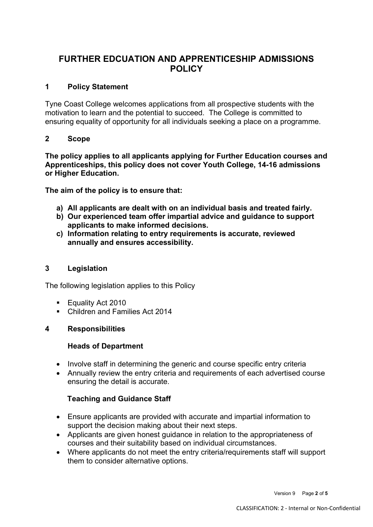# **FURTHER EDCUATION AND APPRENTICESHIP ADMISSIONS POLICY**

# **1 Policy Statement**

Tyne Coast College welcomes applications from all prospective students with the motivation to learn and the potential to succeed. The College is committed to ensuring equality of opportunity for all individuals seeking a place on a programme.

#### **2 Scope**

**The policy applies to all applicants applying for Further Education courses and Apprenticeships, this policy does not cover Youth College, 14-16 admissions or Higher Education.**

**The aim of the policy is to ensure that:**

- **a) All applicants are dealt with on an individual basis and treated fairly.**
- **b) Our experienced team offer impartial advice and guidance to support applicants to make informed decisions.**
- **c) Information relating to entry requirements is accurate, reviewed annually and ensures accessibility.**

#### **3 Legislation**

The following legislation applies to this Policy

- **Equality Act 2010**
- Children and Families Act 2014

#### **4 Responsibilities**

#### **Heads of Department**

- Involve staff in determining the generic and course specific entry criteria
- Annually review the entry criteria and requirements of each advertised course ensuring the detail is accurate.

#### **Teaching and Guidance Staff**

- Ensure applicants are provided with accurate and impartial information to support the decision making about their next steps.
- Applicants are given honest guidance in relation to the appropriateness of courses and their suitability based on individual circumstances.
- Where applicants do not meet the entry criteria/requirements staff will support them to consider alternative options.

Version 9 Page **2** of **5**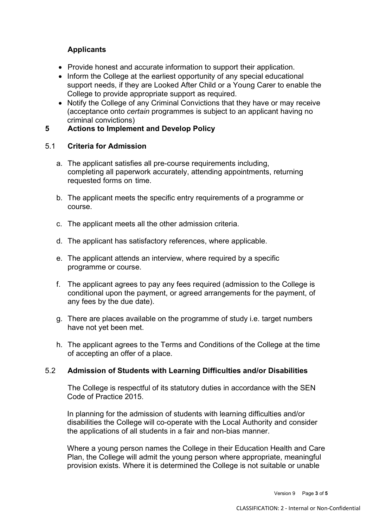# **Applicants**

- Provide honest and accurate information to support their application.
- Inform the College at the earliest opportunity of any special educational support needs, if they are Looked After Child or a Young Carer to enable the College to provide appropriate support as required.
- Notify the College of any Criminal Convictions that they have or may receive (acceptance onto *certain* programmes is subject to an applicant having no criminal convictions)

# **5 Actions to Implement and Develop Policy**

#### 5.1 **Criteria for Admission**

- a. The applicant satisfies all pre-course requirements including, completing all paperwork accurately, attending appointments, returning requested forms on time.
- b. The applicant meets the specific entry requirements of a programme or course.
- c. The applicant meets all the other admission criteria.
- d. The applicant has satisfactory references, where applicable.
- e. The applicant attends an interview, where required by a specific programme or course.
- f. The applicant agrees to pay any fees required (admission to the College is conditional upon the payment, or agreed arrangements for the payment, of any fees by the due date).
- g. There are places available on the programme of study i.e. target numbers have not yet been met.
- h. The applicant agrees to the Terms and Conditions of the College at the time of accepting an offer of a place.

#### 5.2 **Admission of Students with Learning Difficulties and/or Disabilities**

The College is respectful of its statutory duties in accordance with the SEN Code of Practice 2015.

In planning for the admission of students with learning difficulties and/or disabilities the College will co-operate with the Local Authority and consider the applications of all students in a fair and non-bias manner.

Where a young person names the College in their Education Health and Care Plan, the College will admit the young person where appropriate, meaningful provision exists. Where it is determined the College is not suitable or unable

Version 9 Page **3** of **5**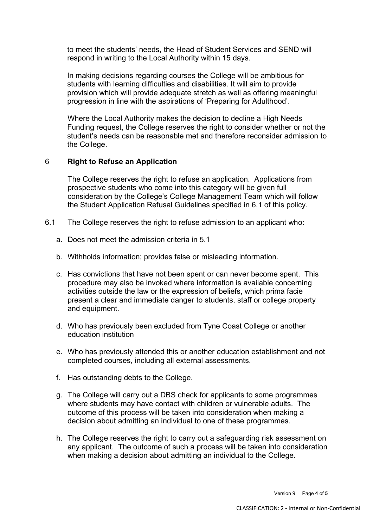to meet the students' needs, the Head of Student Services and SEND will respond in writing to the Local Authority within 15 days.

In making decisions regarding courses the College will be ambitious for students with learning difficulties and disabilities. It will aim to provide provision which will provide adequate stretch as well as offering meaningful progression in line with the aspirations of 'Preparing for Adulthood'.

Where the Local Authority makes the decision to decline a High Needs Funding request, the College reserves the right to consider whether or not the student's needs can be reasonable met and therefore reconsider admission to the College.

#### 6 **Right to Refuse an Application**

The College reserves the right to refuse an application. Applications from prospective students who come into this category will be given full consideration by the College's College Management Team which will follow the Student Application Refusal Guidelines specified in 6.1 of this policy.

- 6.1 The College reserves the right to refuse admission to an applicant who:
	- a. Does not meet the admission criteria in 5.1
	- b. Withholds information; provides false or misleading information.
	- c. Has convictions that have not been spent or can never become spent. This procedure may also be invoked where information is available concerning activities outside the law or the expression of beliefs, which prima facie present a clear and immediate danger to students, staff or college property and equipment.
	- d. Who has previously been excluded from Tyne Coast College or another education institution
	- e. Who has previously attended this or another education establishment and not completed courses, including all external assessments.
	- f. Has outstanding debts to the College.
	- g. The College will carry out a DBS check for applicants to some programmes where students may have contact with children or vulnerable adults. The outcome of this process will be taken into consideration when making a decision about admitting an individual to one of these programmes.
	- h. The College reserves the right to carry out a safeguarding risk assessment on any applicant. The outcome of such a process will be taken into consideration when making a decision about admitting an individual to the College.

Version 9 Page **4** of **5**